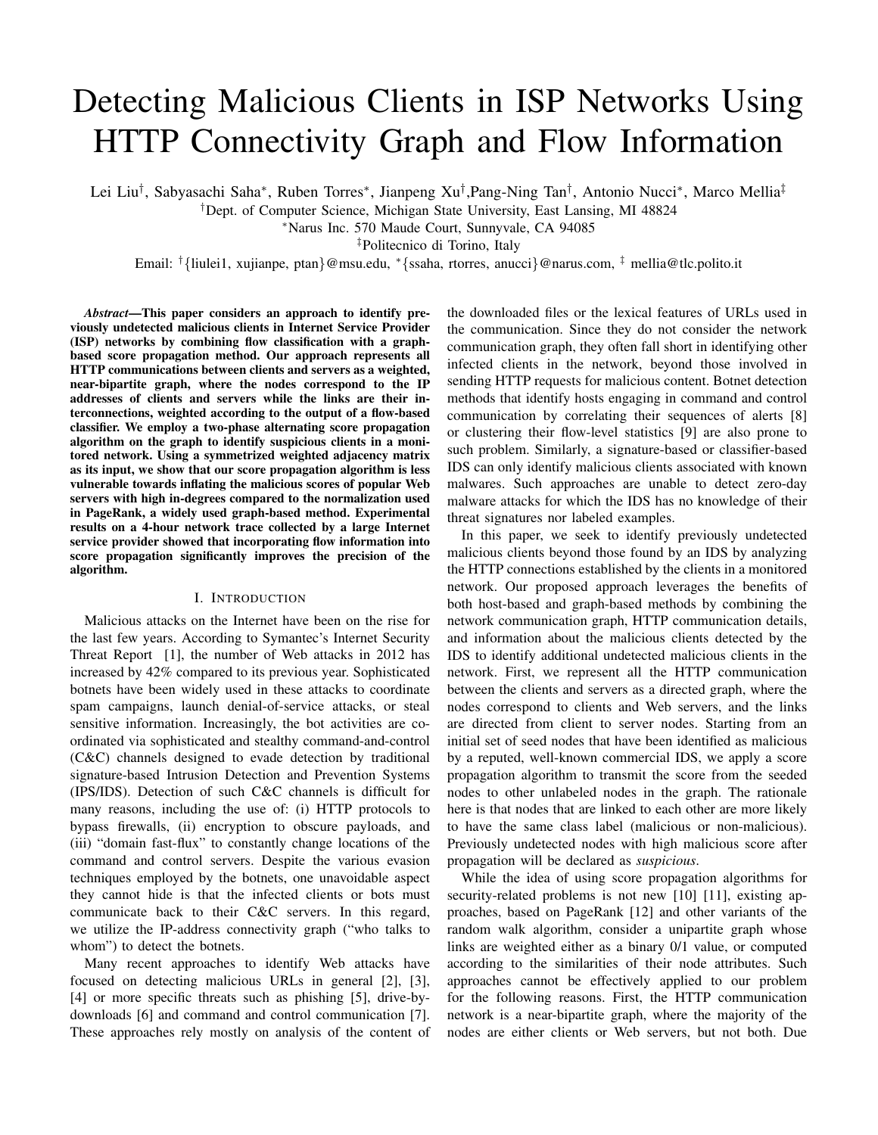# Detecting Malicious Clients in ISP Networks Using HTTP Connectivity Graph and Flow Information

Lei Liu*†* , Sabyasachi Saha*∗* , Ruben Torres*∗* , Jianpeng Xu*†* ,Pang-Ning Tan*†* , Antonio Nucci*∗* , Marco Mellia*‡*

*†*Dept. of Computer Science, Michigan State University, East Lansing, MI 48824

*<sup>∗</sup>*Narus Inc. 570 Maude Court, Sunnyvale, CA 94085

*‡*Politecnico di Torino, Italy

Email: *†{*liulei1, xujianpe, ptan*}*@msu.edu, *<sup>∗</sup>{*ssaha, rtorres, anucci*}*@narus.com, *‡* mellia@tlc.polito.it

*Abstract*—This paper considers an approach to identify previously undetected malicious clients in Internet Service Provider (ISP) networks by combining flow classification with a graphbased score propagation method. Our approach represents all HTTP communications between clients and servers as a weighted, near-bipartite graph, where the nodes correspond to the IP addresses of clients and servers while the links are their interconnections, weighted according to the output of a flow-based classifier. We employ a two-phase alternating score propagation algorithm on the graph to identify suspicious clients in a monitored network. Using a symmetrized weighted adjacency matrix as its input, we show that our score propagation algorithm is less vulnerable towards inflating the malicious scores of popular Web servers with high in-degrees compared to the normalization used in PageRank, a widely used graph-based method. Experimental results on a 4-hour network trace collected by a large Internet service provider showed that incorporating flow information into score propagation significantly improves the precision of the algorithm.

#### I. INTRODUCTION

Malicious attacks on the Internet have been on the rise for the last few years. According to Symantec's Internet Security Threat Report [1], the number of Web attacks in 2012 has increased by 42% compared to its previous year. Sophisticated botnets have been widely used in these attacks to coordinate spam campaigns, launch denial-of-service attacks, or steal sensitive information. Increasingly, the bot activities are coordinated via sophisticated and stealthy command-and-control (C&C) channels designed to evade detection by traditional signature-based Intrusion Detection and Prevention Systems (IPS/IDS). Detection of such C&C channels is difficult for many reasons, including the use of: (i) HTTP protocols to bypass firewalls, (ii) encryption to obscure payloads, and (iii) "domain fast-flux" to constantly change locations of the command and control servers. Despite the various evasion techniques employed by the botnets, one unavoidable aspect they cannot hide is that the infected clients or bots must communicate back to their C&C servers. In this regard, we utilize the IP-address connectivity graph ("who talks to whom") to detect the botnets.

Many recent approaches to identify Web attacks have focused on detecting malicious URLs in general [2], [3], [4] or more specific threats such as phishing [5], drive-bydownloads [6] and command and control communication [7]. These approaches rely mostly on analysis of the content of the downloaded files or the lexical features of URLs used in the communication. Since they do not consider the network communication graph, they often fall short in identifying other infected clients in the network, beyond those involved in sending HTTP requests for malicious content. Botnet detection methods that identify hosts engaging in command and control communication by correlating their sequences of alerts [8] or clustering their flow-level statistics [9] are also prone to such problem. Similarly, a signature-based or classifier-based IDS can only identify malicious clients associated with known malwares. Such approaches are unable to detect zero-day malware attacks for which the IDS has no knowledge of their threat signatures nor labeled examples.

In this paper, we seek to identify previously undetected malicious clients beyond those found by an IDS by analyzing the HTTP connections established by the clients in a monitored network. Our proposed approach leverages the benefits of both host-based and graph-based methods by combining the network communication graph, HTTP communication details, and information about the malicious clients detected by the IDS to identify additional undetected malicious clients in the network. First, we represent all the HTTP communication between the clients and servers as a directed graph, where the nodes correspond to clients and Web servers, and the links are directed from client to server nodes. Starting from an initial set of seed nodes that have been identified as malicious by a reputed, well-known commercial IDS, we apply a score propagation algorithm to transmit the score from the seeded nodes to other unlabeled nodes in the graph. The rationale here is that nodes that are linked to each other are more likely to have the same class label (malicious or non-malicious). Previously undetected nodes with high malicious score after propagation will be declared as *suspicious*.

While the idea of using score propagation algorithms for security-related problems is not new [10] [11], existing approaches, based on PageRank [12] and other variants of the random walk algorithm, consider a unipartite graph whose links are weighted either as a binary 0/1 value, or computed according to the similarities of their node attributes. Such approaches cannot be effectively applied to our problem for the following reasons. First, the HTTP communication network is a near-bipartite graph, where the majority of the nodes are either clients or Web servers, but not both. Due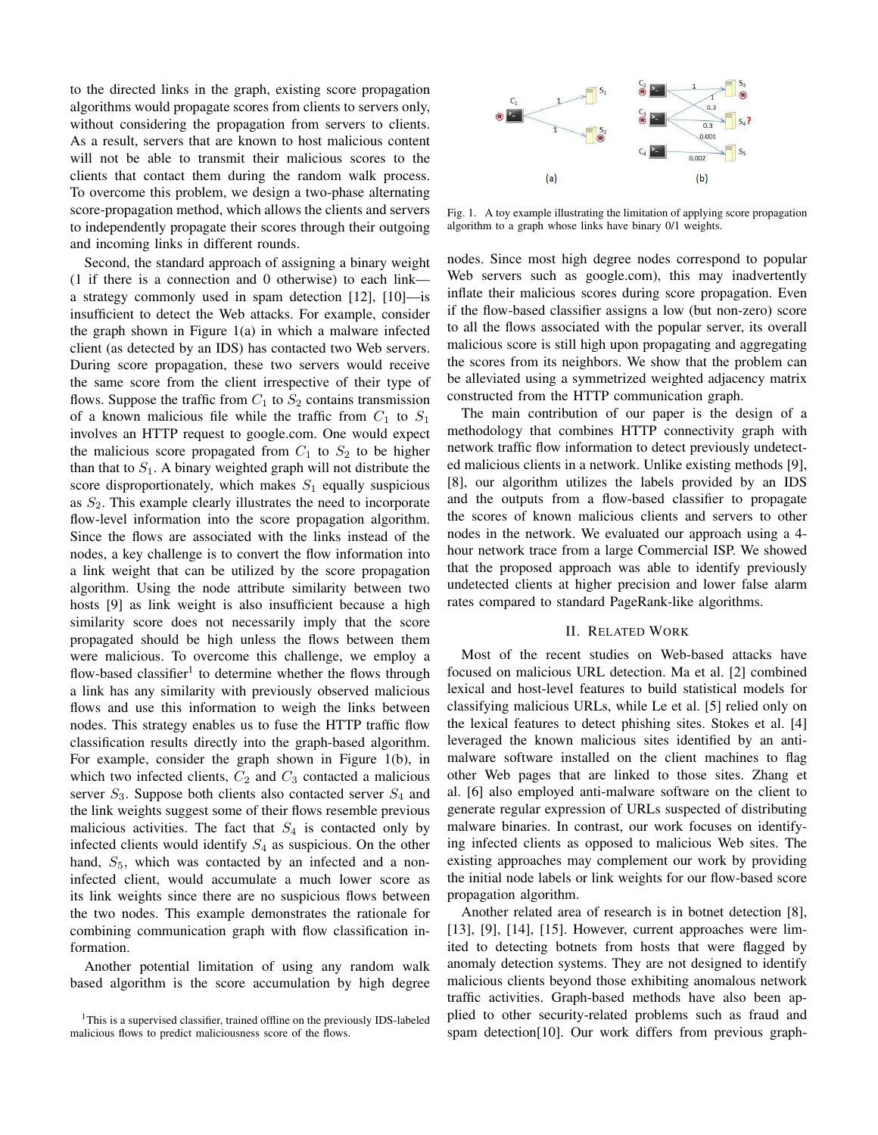to the directed links in the graph, existing score propagation algorithms would propagate scores from clients to servers only, without considering the propagation from servers to clients. As a result, servers that are known to host malicious content will not be able to transmit their malicious scores to the clients that contact them during the random walk process. To overcome this problem, we design a two-phase alternating score-propagation method, which allows the clients and servers to independently propagate their scores through their outgoing and incoming links in different rounds.

Second, the standard approach of assigning a binary weight (1 if there is a connection and 0 otherwise) to each link a strategy commonly used in spam detection [12], [10]—is insufficient to detect the Web attacks. For example, consider the graph shown in Figure 1(a) in which a malware infected client (as detected by an IDS) has contacted two Web servers. During score propagation, these two servers would receive the same score from the client irrespective of their type of flows. Suppose the traffic from  $C_1$  to  $S_2$  contains transmission of a known malicious file while the traffic from  $C_1$  to  $S_1$ involves an HTTP request to google.com. One would expect the malicious score propagated from  $C_1$  to  $S_2$  to be higher than that to  $S_1$ . A binary weighted graph will not distribute the score disproportionately, which makes  $S_1$  equally suspicious as *S*2. This example clearly illustrates the need to incorporate flow-level information into the score propagation algorithm. Since the flows are associated with the links instead of the nodes, a key challenge is to convert the flow information into a link weight that can be utilized by the score propagation algorithm. Using the node attribute similarity between two hosts [9] as link weight is also insufficient because a high similarity score does not necessarily imply that the score propagated should be high unless the flows between them were malicious. To overcome this challenge, we employ a flow-based classifier<sup>1</sup> to determine whether the flows through a link has any similarity with previously observed malicious flows and use this information to weigh the links between nodes. This strategy enables us to fuse the HTTP traffic flow classification results directly into the graph-based algorithm. For example, consider the graph shown in Figure 1(b), in which two infected clients,  $C_2$  and  $C_3$  contacted a malicious server *S*3*.* Suppose both clients also contacted server *S*<sup>4</sup> and the link weights suggest some of their flows resemble previous malicious activities. The fact that  $S_4$  is contacted only by infected clients would identify *S*<sup>4</sup> as suspicious. On the other hand,  $S_5$ , which was contacted by an infected and a noninfected client, would accumulate a much lower score as its link weights since there are no suspicious flows between the two nodes. This example demonstrates the rationale for combining communication graph with flow classification information.

Another potential limitation of using any random walk based algorithm is the score accumulation by high degree



Fig. 1. A toy example illustrating the limitation of applying score propagation algorithm to a graph whose links have binary 0/1 weights.

nodes. Since most high degree nodes correspond to popular Web servers such as google.com), this may inadvertently inflate their malicious scores during score propagation. Even if the flow-based classifier assigns a low (but non-zero) score to all the flows associated with the popular server, its overall malicious score is still high upon propagating and aggregating the scores from its neighbors. We show that the problem can be alleviated using a symmetrized weighted adjacency matrix constructed from the HTTP communication graph.

The main contribution of our paper is the design of a methodology that combines HTTP connectivity graph with network traffic flow information to detect previously undetected malicious clients in a network. Unlike existing methods [9], [8], our algorithm utilizes the labels provided by an IDS and the outputs from a flow-based classifier to propagate the scores of known malicious clients and servers to other nodes in the network. We evaluated our approach using a 4 hour network trace from a large Commercial ISP. We showed that the proposed approach was able to identify previously undetected clients at higher precision and lower false alarm rates compared to standard PageRank-like algorithms.

#### II. RELATED WORK

Most of the recent studies on Web-based attacks have focused on malicious URL detection. Ma et al. [2] combined lexical and host-level features to build statistical models for classifying malicious URLs, while Le et al. [5] relied only on the lexical features to detect phishing sites. Stokes et al. [4] leveraged the known malicious sites identified by an antimalware software installed on the client machines to flag other Web pages that are linked to those sites. Zhang et al. [6] also employed anti-malware software on the client to generate regular expression of URLs suspected of distributing malware binaries. In contrast, our work focuses on identifying infected clients as opposed to malicious Web sites. The existing approaches may complement our work by providing the initial node labels or link weights for our flow-based score propagation algorithm.

Another related area of research is in botnet detection [8], [13], [9], [14], [15]. However, current approaches were limited to detecting botnets from hosts that were flagged by anomaly detection systems. They are not designed to identify malicious clients beyond those exhibiting anomalous network traffic activities. Graph-based methods have also been applied to other security-related problems such as fraud and spam detection[10]. Our work differs from previous graph-

<sup>&</sup>lt;sup>1</sup>This is a supervised classifier, trained offline on the previously IDS-labeled malicious flows to predict maliciousness score of the flows.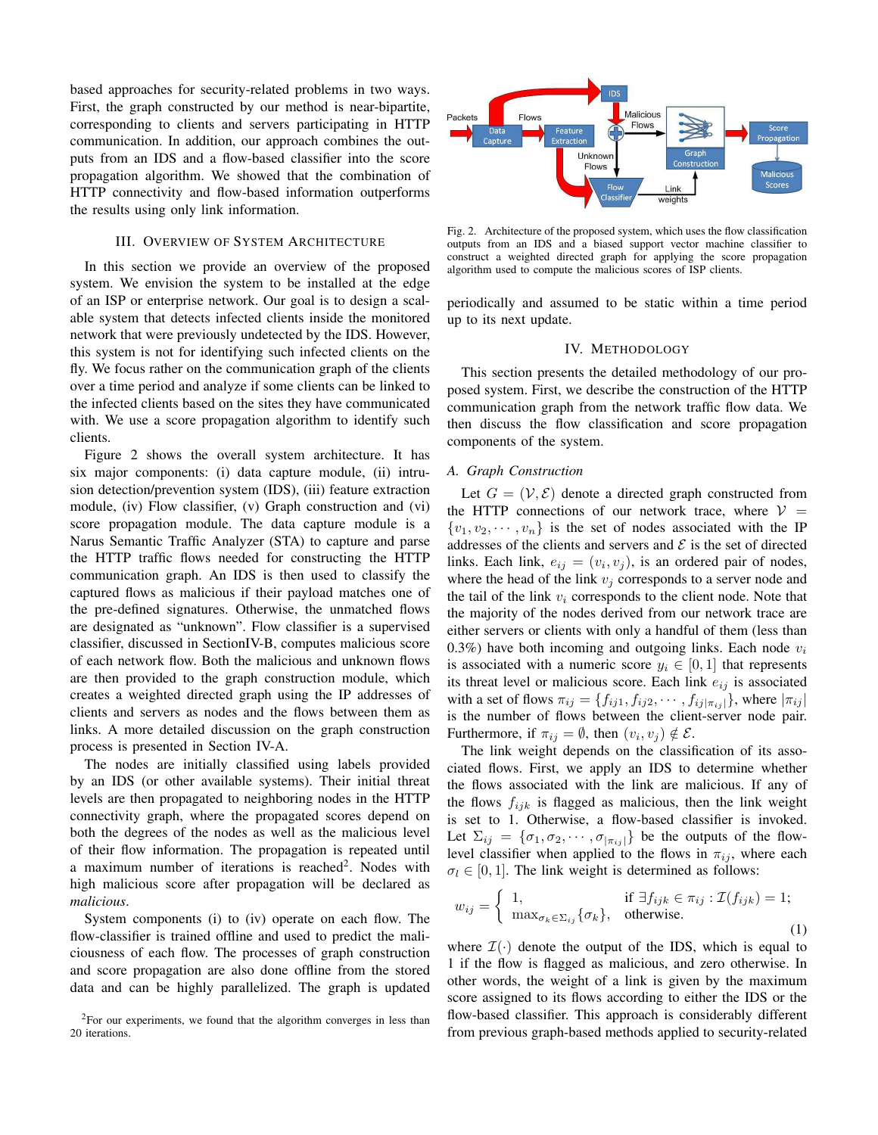based approaches for security-related problems in two ways. First, the graph constructed by our method is near-bipartite, corresponding to clients and servers participating in HTTP communication. In addition, our approach combines the outputs from an IDS and a flow-based classifier into the score propagation algorithm. We showed that the combination of HTTP connectivity and flow-based information outperforms the results using only link information.

#### III. OVERVIEW OF SYSTEM ARCHITECTURE

In this section we provide an overview of the proposed system. We envision the system to be installed at the edge of an ISP or enterprise network. Our goal is to design a scalable system that detects infected clients inside the monitored network that were previously undetected by the IDS. However, this system is not for identifying such infected clients on the fly. We focus rather on the communication graph of the clients over a time period and analyze if some clients can be linked to the infected clients based on the sites they have communicated with. We use a score propagation algorithm to identify such clients.

Figure 2 shows the overall system architecture. It has six major components: (i) data capture module, (ii) intrusion detection/prevention system (IDS), (iii) feature extraction module, (iv) Flow classifier, (v) Graph construction and (vi) score propagation module. The data capture module is a Narus Semantic Traffic Analyzer (STA) to capture and parse the HTTP traffic flows needed for constructing the HTTP communication graph. An IDS is then used to classify the captured flows as malicious if their payload matches one of the pre-defined signatures. Otherwise, the unmatched flows are designated as "unknown". Flow classifier is a supervised classifier, discussed in SectionIV-B, computes malicious score of each network flow. Both the malicious and unknown flows are then provided to the graph construction module, which creates a weighted directed graph using the IP addresses of clients and servers as nodes and the flows between them as links. A more detailed discussion on the graph construction process is presented in Section IV-A.

The nodes are initially classified using labels provided by an IDS (or other available systems). Their initial threat levels are then propagated to neighboring nodes in the HTTP connectivity graph, where the propagated scores depend on both the degrees of the nodes as well as the malicious level of their flow information. The propagation is repeated until a maximum number of iterations is reached<sup>2</sup>. Nodes with high malicious score after propagation will be declared as *malicious*.

System components (i) to (iv) operate on each flow. The flow-classifier is trained offline and used to predict the maliciousness of each flow. The processes of graph construction and score propagation are also done offline from the stored data and can be highly parallelized. The graph is updated





Fig. 2. Architecture of the proposed system, which uses the flow classification outputs from an IDS and a biased support vector machine classifier to construct a weighted directed graph for applying the score propagation algorithm used to compute the malicious scores of ISP clients.

periodically and assumed to be static within a time period up to its next update.

# IV. METHODOLOGY

This section presents the detailed methodology of our proposed system. First, we describe the construction of the HTTP communication graph from the network traffic flow data. We then discuss the flow classification and score propagation components of the system.

# *A. Graph Construction*

Let  $G = (\mathcal{V}, \mathcal{E})$  denote a directed graph constructed from the HTTP connections of our network trace, where  $V =$  $\{v_1, v_2, \dots, v_n\}$  is the set of nodes associated with the IP addresses of the clients and servers and  $\mathcal E$  is the set of directed links. Each link,  $e_{ij} = (v_i, v_j)$ , is an ordered pair of nodes, where the head of the link  $v_j$  corresponds to a server node and the tail of the link  $v_i$  corresponds to the client node. Note that the majority of the nodes derived from our network trace are either servers or clients with only a handful of them (less than 0.3%) have both incoming and outgoing links. Each node  $v_i$ is associated with a numeric score  $y_i \in [0, 1]$  that represents its threat level or malicious score. Each link *eij* is associated with a set of flows  $\pi_{ij} = \{f_{ij1}, f_{ij2}, \cdots, f_{ij} | \pi_{ij} \}$ , where  $|\pi_{ij}|$ is the number of flows between the client-server node pair. Furthermore, if  $\pi_{ij} = \emptyset$ , then  $(v_i, v_j) \notin \mathcal{E}$ .

The link weight depends on the classification of its associated flows. First, we apply an IDS to determine whether the flows associated with the link are malicious. If any of the flows  $f_{ijk}$  is flagged as malicious, then the link weight is set to 1. Otherwise, a flow-based classifier is invoked. Let  $\Sigma_{ij} = {\sigma_1, \sigma_2, \cdots, \sigma_{|\pi_{ij}|}}$  be the outputs of the flowlevel classifier when applied to the flows in  $\pi_{ij}$ , where each  $\sigma_l \in [0, 1]$ . The link weight is determined as follows:

$$
w_{ij} = \begin{cases} 1, & \text{if } \exists f_{ijk} \in \pi_{ij} : \mathcal{I}(f_{ijk}) = 1; \\ \max_{\sigma_k \in \Sigma_{ij}} \{\sigma_k\}, & \text{otherwise.} \end{cases}
$$
(1)

where  $\mathcal{I}(\cdot)$  denote the output of the IDS, which is equal to 1 if the flow is flagged as malicious, and zero otherwise. In other words, the weight of a link is given by the maximum score assigned to its flows according to either the IDS or the flow-based classifier. This approach is considerably different from previous graph-based methods applied to security-related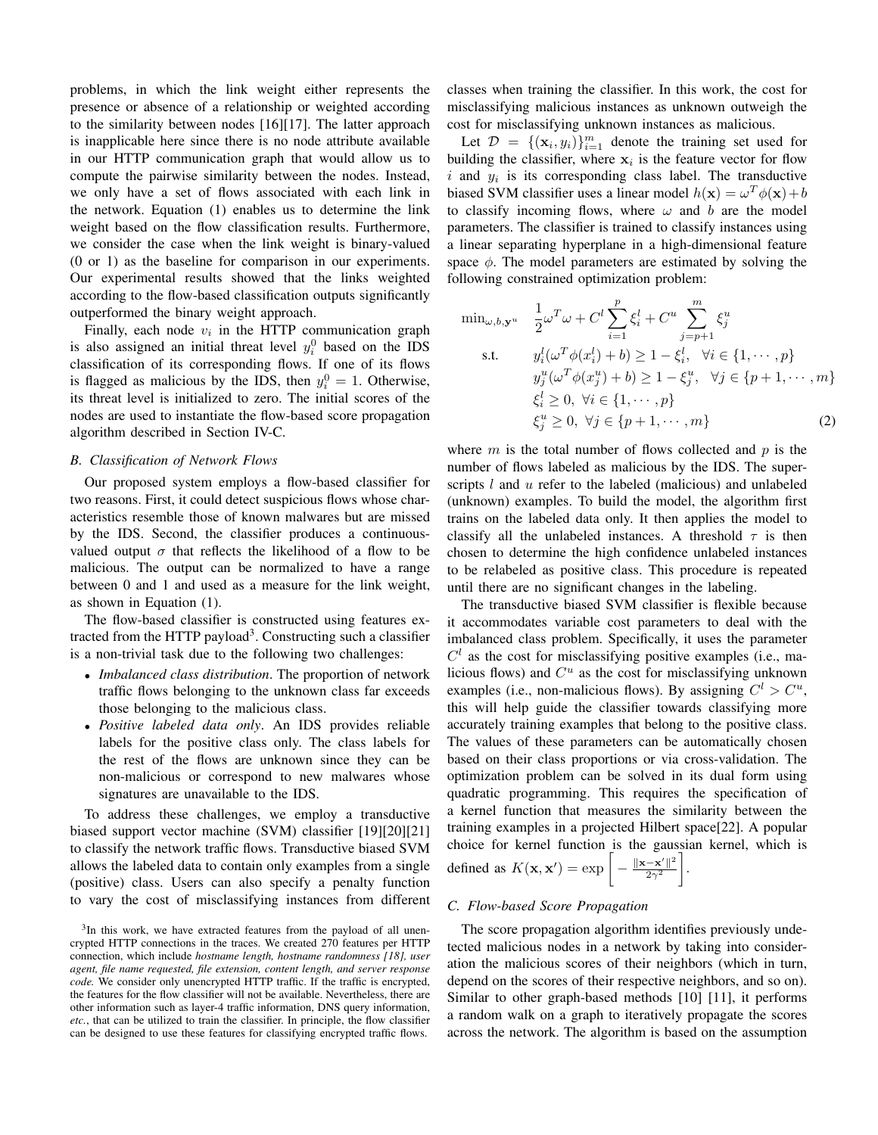problems, in which the link weight either represents the presence or absence of a relationship or weighted according to the similarity between nodes [16][17]. The latter approach is inapplicable here since there is no node attribute available in our HTTP communication graph that would allow us to compute the pairwise similarity between the nodes. Instead, we only have a set of flows associated with each link in the network. Equation (1) enables us to determine the link weight based on the flow classification results. Furthermore, we consider the case when the link weight is binary-valued (0 or 1) as the baseline for comparison in our experiments. Our experimental results showed that the links weighted according to the flow-based classification outputs significantly outperformed the binary weight approach.

Finally, each node  $v_i$  in the HTTP communication graph is also assigned an initial threat level  $y_i^0$  based on the IDS classification of its corresponding flows. If one of its flows is flagged as malicious by the IDS, then  $y_i^0 = 1$ . Otherwise, its threat level is initialized to zero. The initial scores of the nodes are used to instantiate the flow-based score propagation algorithm described in Section IV-C.

#### *B. Classification of Network Flows*

Our proposed system employs a flow-based classifier for two reasons. First, it could detect suspicious flows whose characteristics resemble those of known malwares but are missed by the IDS. Second, the classifier produces a continuousvalued output  $\sigma$  that reflects the likelihood of a flow to be malicious. The output can be normalized to have a range between 0 and 1 and used as a measure for the link weight, as shown in Equation (1).

The flow-based classifier is constructed using features extracted from the HTTP payload<sup>3</sup>. Constructing such a classifier is a non-trivial task due to the following two challenges:

- *• Imbalanced class distribution*. The proportion of network traffic flows belonging to the unknown class far exceeds those belonging to the malicious class.
- *• Positive labeled data only*. An IDS provides reliable labels for the positive class only. The class labels for the rest of the flows are unknown since they can be non-malicious or correspond to new malwares whose signatures are unavailable to the IDS.

To address these challenges, we employ a transductive biased support vector machine (SVM) classifier [19][20][21] to classify the network traffic flows. Transductive biased SVM allows the labeled data to contain only examples from a single (positive) class. Users can also specify a penalty function to vary the cost of misclassifying instances from different classes when training the classifier. In this work, the cost for misclassifying malicious instances as unknown outweigh the cost for misclassifying unknown instances as malicious.

Let  $\mathcal{D} = \{(\mathbf{x}_i, y_i)\}_{i=1}^m$  denote the training set used for building the classifier, where  $x_i$  is the feature vector for flow  $i$  and  $y_i$  is its corresponding class label. The transductive biased SVM classifier uses a linear model  $h(\mathbf{x}) = \omega^T \phi(\mathbf{x}) + b$ to classify incoming flows, where *ω* and *b* are the model parameters. The classifier is trained to classify instances using a linear separating hyperplane in a high-dimensional feature space *ϕ*. The model parameters are estimated by solving the following constrained optimization problem:

$$
\min_{\omega, b, \mathbf{y}^u} \quad \frac{1}{2} \omega^T \omega + C^l \sum_{i=1}^p \xi_i^l + C^u \sum_{j=p+1}^m \xi_j^u
$$
\n
$$
\text{s.t.} \quad y_i^l(\omega^T \phi(x_i^l) + b) \ge 1 - \xi_i^l, \quad \forall i \in \{1, \cdots, p\}
$$
\n
$$
y_j^u(\omega^T \phi(x_j^u) + b) \ge 1 - \xi_j^u, \quad \forall j \in \{p+1, \cdots, m\}
$$
\n
$$
\xi_i^l \ge 0, \quad \forall i \in \{1, \cdots, p\}
$$
\n
$$
\xi_j^u \ge 0, \quad \forall j \in \{p+1, \cdots, m\}
$$
\n
$$
(2)
$$

where  $m$  is the total number of flows collected and  $p$  is the number of flows labeled as malicious by the IDS. The superscripts *l* and *u* refer to the labeled (malicious) and unlabeled (unknown) examples. To build the model, the algorithm first trains on the labeled data only. It then applies the model to classify all the unlabeled instances. A threshold  $\tau$  is then chosen to determine the high confidence unlabeled instances to be relabeled as positive class. This procedure is repeated until there are no significant changes in the labeling.

The transductive biased SVM classifier is flexible because it accommodates variable cost parameters to deal with the imbalanced class problem. Specifically, it uses the parameter  $C<sup>l</sup>$  as the cost for misclassifying positive examples (i.e., malicious flows) and  $C^u$  as the cost for misclassifying unknown examples (i.e., non-malicious flows). By assigning  $C^l > C^u$ , this will help guide the classifier towards classifying more accurately training examples that belong to the positive class. The values of these parameters can be automatically chosen based on their class proportions or via cross-validation. The optimization problem can be solved in its dual form using quadratic programming. This requires the specification of a kernel function that measures the similarity between the training examples in a projected Hilbert space[22]. A popular choice for kernel function is the gaussian kernel, which is defined as  $K(\mathbf{x}, \mathbf{x}') = \exp\left[-\frac{\|\mathbf{x} - \mathbf{x}'\|^2}{2\gamma^2}\right]$  $2\gamma^2$ ] *.*

# *C. Flow-based Score Propagation*

The score propagation algorithm identifies previously undetected malicious nodes in a network by taking into consideration the malicious scores of their neighbors (which in turn, depend on the scores of their respective neighbors, and so on). Similar to other graph-based methods [10] [11], it performs a random walk on a graph to iteratively propagate the scores across the network. The algorithm is based on the assumption

<sup>&</sup>lt;sup>3</sup>In this work, we have extracted features from the payload of all unencrypted HTTP connections in the traces. We created 270 features per HTTP connection, which include *hostname length, hostname randomness [18], user agent, file name requested, file extension, content length, and server response code.* We consider only unencrypted HTTP traffic. If the traffic is encrypted, the features for the flow classifier will not be available. Nevertheless, there are other information such as layer-4 traffic information, DNS query information, *etc.*, that can be utilized to train the classifier. In principle, the flow classifier can be designed to use these features for classifying encrypted traffic flows.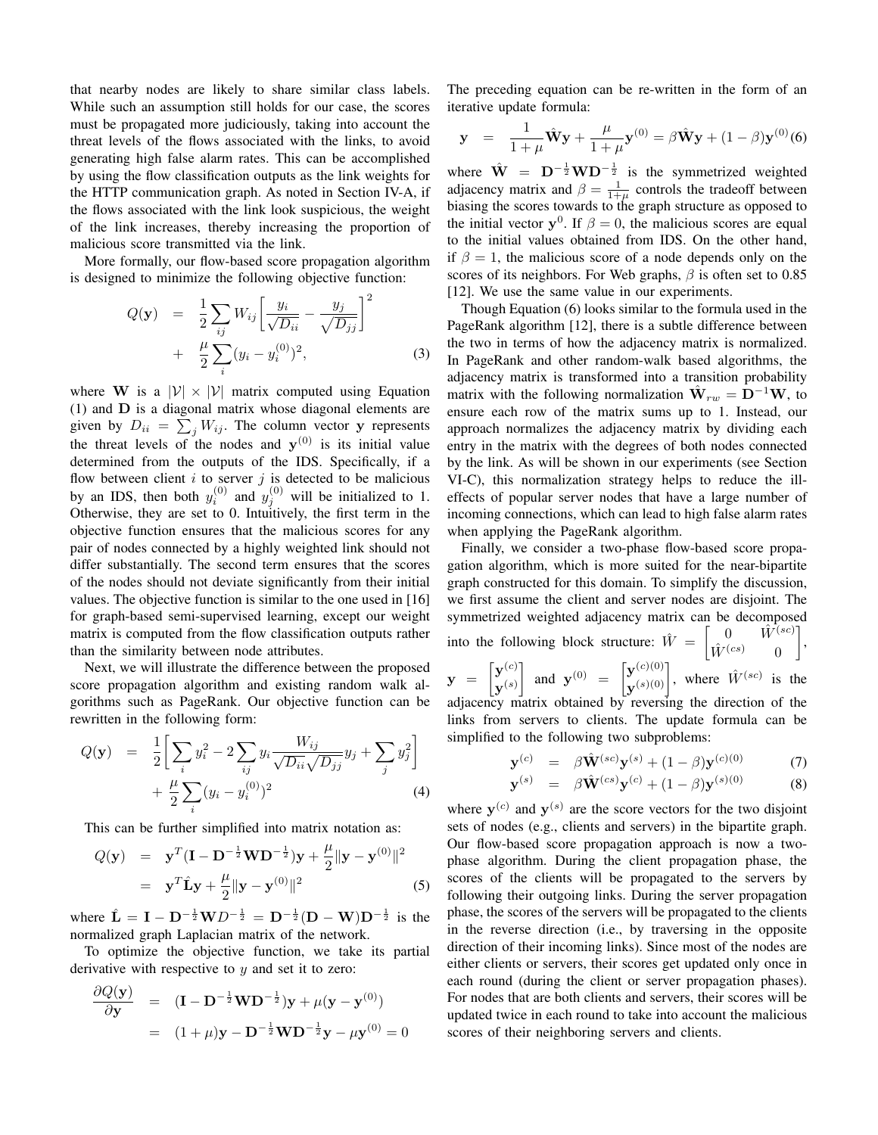that nearby nodes are likely to share similar class labels. While such an assumption still holds for our case, the scores must be propagated more judiciously, taking into account the threat levels of the flows associated with the links, to avoid generating high false alarm rates. This can be accomplished by using the flow classification outputs as the link weights for the HTTP communication graph. As noted in Section IV-A, if the flows associated with the link look suspicious, the weight of the link increases, thereby increasing the proportion of malicious score transmitted via the link.

More formally, our flow-based score propagation algorithm is designed to minimize the following objective function:

$$
Q(\mathbf{y}) = \frac{1}{2} \sum_{ij} W_{ij} \left[ \frac{y_i}{\sqrt{D_{ii}}} - \frac{y_j}{\sqrt{D_{jj}}} \right]^2 + \frac{\mu}{2} \sum_{i} (y_i - y_i^{(0)})^2, \tag{3}
$$

where **W** is a  $|V| \times |V|$  matrix computed using Equation (1) and **D** is a diagonal matrix whose diagonal elements are given by  $D_{ii} = \sum_j W_{ij}$ . The column vector y represents the threat levels of the nodes and  $y^{(0)}$  is its initial value determined from the outputs of the IDS. Specifically, if a flow between client  $i$  to server  $j$  is detected to be malicious by an IDS, then both  $y_i^{(0)}$  and  $y_j^{(0)}$  will be initialized to 1. Otherwise, they are set to 0. Intuitively, the first term in the objective function ensures that the malicious scores for any pair of nodes connected by a highly weighted link should not differ substantially. The second term ensures that the scores of the nodes should not deviate significantly from their initial values. The objective function is similar to the one used in [16] for graph-based semi-supervised learning, except our weight matrix is computed from the flow classification outputs rather than the similarity between node attributes.

Next, we will illustrate the difference between the proposed score propagation algorithm and existing random walk algorithms such as PageRank. Our objective function can be rewritten in the following form:

$$
Q(\mathbf{y}) = \frac{1}{2} \bigg[ \sum_{i} y_i^2 - 2 \sum_{ij} y_i \frac{W_{ij}}{\sqrt{D_{ii}} \sqrt{D_{jj}}} y_j + \sum_{j} y_j^2 \bigg] + \frac{\mu}{2} \sum_{i} (y_i - y_i^{(0)})^2 \tag{4}
$$

This can be further simplified into matrix notation as:

$$
Q(\mathbf{y}) = \mathbf{y}^T (\mathbf{I} - \mathbf{D}^{-\frac{1}{2}} \mathbf{W} \mathbf{D}^{-\frac{1}{2}}) \mathbf{y} + \frac{\mu}{2} {\|\mathbf{y} - \mathbf{y}^{(0)}\|}^2
$$
  
=  $\mathbf{y}^T \hat{\mathbf{L}} \mathbf{y} + \frac{\mu}{2} {\|\mathbf{y} - \mathbf{y}^{(0)}\|}^2$  (5)

where  $\hat{\mathbf{L}} = \mathbf{I} - \mathbf{D}^{-\frac{1}{2}}\mathbf{W}D^{-\frac{1}{2}} = \mathbf{D}^{-\frac{1}{2}}(\mathbf{D} - \mathbf{W})\mathbf{D}^{-\frac{1}{2}}$  is the normalized graph Laplacian matrix of the network.

To optimize the objective function, we take its partial derivative with respective to *y* and set it to zero:

$$
\frac{\partial Q(\mathbf{y})}{\partial \mathbf{y}} = (\mathbf{I} - \mathbf{D}^{-\frac{1}{2}} \mathbf{W} \mathbf{D}^{-\frac{1}{2}}) \mathbf{y} + \mu (\mathbf{y} - \mathbf{y}^{(0)})
$$
  
=  $(1 + \mu) \mathbf{y} - \mathbf{D}^{-\frac{1}{2}} \mathbf{W} \mathbf{D}^{-\frac{1}{2}} \mathbf{y} - \mu \mathbf{y}^{(0)} = 0$ 

The preceding equation can be re-written in the form of an iterative update formula:

$$
\mathbf{y} = \frac{1}{1+\mu}\hat{\mathbf{W}}\mathbf{y} + \frac{\mu}{1+\mu}\mathbf{y}^{(0)} = \beta\hat{\mathbf{W}}\mathbf{y} + (1-\beta)\mathbf{y}^{(0)}(6)
$$

where  $\hat{W} = D^{-\frac{1}{2}}WD^{-\frac{1}{2}}$  is the symmetrized weighted adjacency matrix and  $\beta = \frac{1}{1+\mu}$  controls the tradeoff between biasing the scores towards to the graph structure as opposed to the initial vector  $y^0$ . If  $\beta = 0$ , the malicious scores are equal to the initial values obtained from IDS. On the other hand, if  $\beta = 1$ , the malicious score of a node depends only on the scores of its neighbors. For Web graphs, *β* is often set to 0.85 [12]. We use the same value in our experiments.

Though Equation (6) looks similar to the formula used in the PageRank algorithm [12], there is a subtle difference between the two in terms of how the adjacency matrix is normalized. In PageRank and other random-walk based algorithms, the adjacency matrix is transformed into a transition probability matrix with the following normalization  $\hat{\mathbf{W}}_{rw} = \hat{\mathbf{D}}^{-1} \mathbf{W}$ , to ensure each row of the matrix sums up to 1. Instead, our approach normalizes the adjacency matrix by dividing each entry in the matrix with the degrees of both nodes connected by the link. As will be shown in our experiments (see Section VI-C), this normalization strategy helps to reduce the illeffects of popular server nodes that have a large number of incoming connections, which can lead to high false alarm rates when applying the PageRank algorithm.

Finally, we consider a two-phase flow-based score propagation algorithm, which is more suited for the near-bipartite graph constructed for this domain. To simplify the discussion, we first assume the client and server nodes are disjoint. The symmetrized weighted adjacency matrix can be decomposed into the following block structure:  $\hat{W} = \begin{bmatrix} 0 & \hat{W}^{(sc)} \\ \hat{W}^{(sc)} & 0 \end{bmatrix}$  $\hat{W}^{(cs)} = 0$ ] ,  $y =$  $\left[\mathbf{y}^{(c)}\right]$  $\mathbf{y}^{(s)}$ ] and  $\mathbf{y}^{(0)} = \begin{bmatrix} \mathbf{y}^{(c)(0)} \\ \mathbf{y}^{(c)(0)} \end{bmatrix}$  $\mathbf{y}^{(c)(0)}$ , where  $\hat{W}^{(sc)}$  is the adjacency matrix obtained by reversing the direction of the links from servers to clients. The update formula can be simplified to the following two subproblems:

$$
\mathbf{y}^{(c)} = \beta \hat{\mathbf{W}}^{(sc)} \mathbf{y}^{(s)} + (1 - \beta) \mathbf{y}^{(c)(0)} \tag{7}
$$

$$
\mathbf{y}^{(s)} = \beta \hat{\mathbf{W}}^{(cs)} \mathbf{y}^{(c)} + (1 - \beta) \mathbf{y}^{(s)(0)} \tag{8}
$$

where  $y^{(c)}$  and  $y^{(s)}$  are the score vectors for the two disjoint sets of nodes (e.g., clients and servers) in the bipartite graph. Our flow-based score propagation approach is now a twophase algorithm. During the client propagation phase, the scores of the clients will be propagated to the servers by following their outgoing links. During the server propagation phase, the scores of the servers will be propagated to the clients in the reverse direction (i.e., by traversing in the opposite direction of their incoming links). Since most of the nodes are either clients or servers, their scores get updated only once in each round (during the client or server propagation phases). For nodes that are both clients and servers, their scores will be updated twice in each round to take into account the malicious scores of their neighboring servers and clients.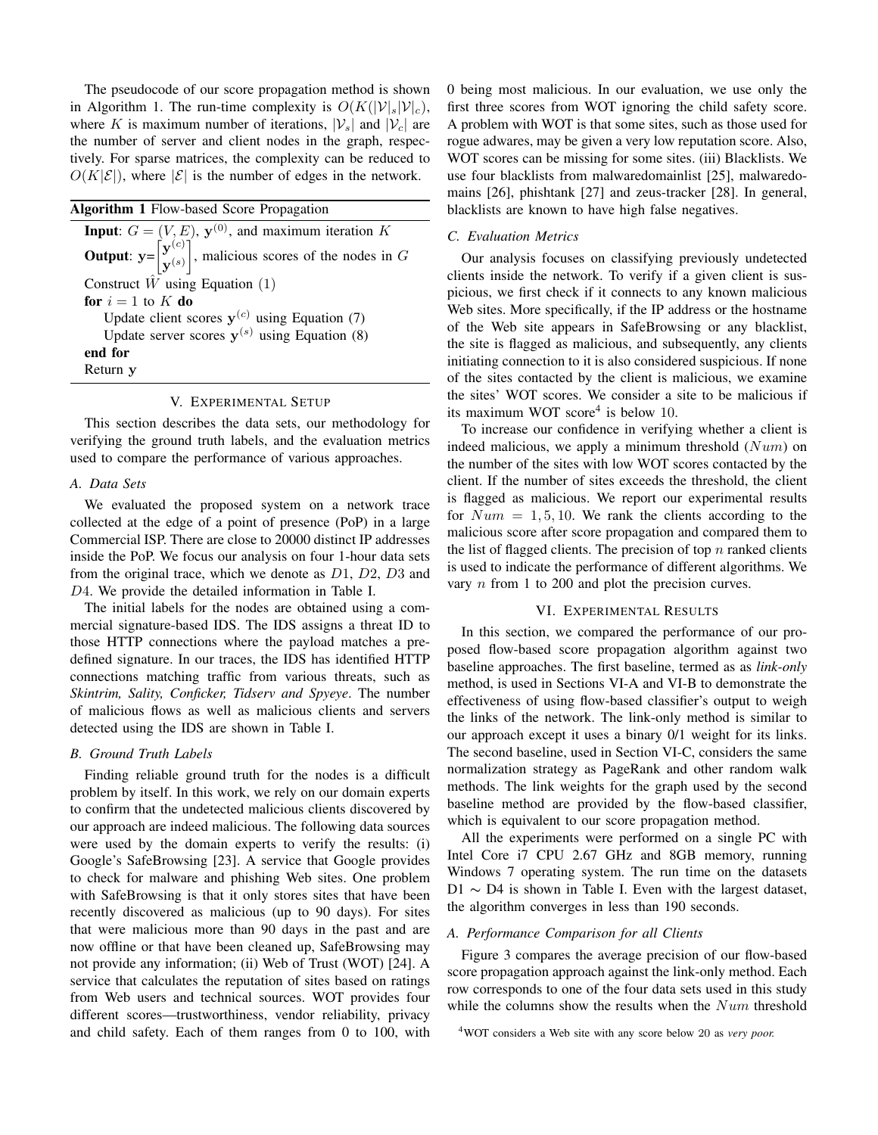The pseudocode of our score propagation method is shown in Algorithm 1. The run-time complexity is  $O(K(|\mathcal{V}|_s|\mathcal{V}|_c))$ , where *K* is maximum number of iterations,  $|V_s|$  and  $|V_c|$  are the number of server and client nodes in the graph, respectively. For sparse matrices, the complexity can be reduced to  $O(K|\mathcal{E}|)$ , where  $|\mathcal{E}|$  is the number of edges in the network.

| <b>Algorithm 1</b> Flow-based Score Propagation                                                            |
|------------------------------------------------------------------------------------------------------------|
| <b>Input:</b> $G = (V, E)$ , $\mathbf{y}^{(0)}$ , and maximum iteration K                                  |
| <b>Output:</b> $y = \begin{bmatrix} y^{(c)} \\ y^{(s)} \end{bmatrix}$ , malicious scores of the nodes in G |
| Construct $\hat{W}$ using Equation (1)                                                                     |
| for $i = 1$ to K do                                                                                        |
| Update client scores $y^{(c)}$ using Equation (7)                                                          |
| Update server scores $y^{(s)}$ using Equation (8)                                                          |
| end for                                                                                                    |
| Return <i>v</i>                                                                                            |
|                                                                                                            |

# V. EXPERIMENTAL SETUP

This section describes the data sets, our methodology for verifying the ground truth labels, and the evaluation metrics used to compare the performance of various approaches.

#### *A. Data Sets*

We evaluated the proposed system on a network trace collected at the edge of a point of presence (PoP) in a large Commercial ISP. There are close to 20000 distinct IP addresses inside the PoP. We focus our analysis on four 1-hour data sets from the original trace, which we denote as *D*1, *D*2, *D*3 and *D*4. We provide the detailed information in Table I.

The initial labels for the nodes are obtained using a commercial signature-based IDS. The IDS assigns a threat ID to those HTTP connections where the payload matches a predefined signature. In our traces, the IDS has identified HTTP connections matching traffic from various threats, such as *Skintrim, Sality, Conficker, Tidserv and Spyeye*. The number of malicious flows as well as malicious clients and servers detected using the IDS are shown in Table I.

# *B. Ground Truth Labels*

Finding reliable ground truth for the nodes is a difficult problem by itself. In this work, we rely on our domain experts to confirm that the undetected malicious clients discovered by our approach are indeed malicious. The following data sources were used by the domain experts to verify the results: (i) Google's SafeBrowsing [23]. A service that Google provides to check for malware and phishing Web sites. One problem with SafeBrowsing is that it only stores sites that have been recently discovered as malicious (up to 90 days). For sites that were malicious more than 90 days in the past and are now offline or that have been cleaned up, SafeBrowsing may not provide any information; (ii) Web of Trust (WOT) [24]. A service that calculates the reputation of sites based on ratings from Web users and technical sources. WOT provides four different scores—trustworthiness, vendor reliability, privacy and child safety. Each of them ranges from 0 to 100, with 0 being most malicious. In our evaluation, we use only the first three scores from WOT ignoring the child safety score. A problem with WOT is that some sites, such as those used for rogue adwares, may be given a very low reputation score. Also, WOT scores can be missing for some sites. (iii) Blacklists. We use four blacklists from malwaredomainlist [25], malwaredomains [26], phishtank [27] and zeus-tracker [28]. In general, blacklists are known to have high false negatives.

# *C. Evaluation Metrics*

Our analysis focuses on classifying previously undetected clients inside the network. To verify if a given client is suspicious, we first check if it connects to any known malicious Web sites. More specifically, if the IP address or the hostname of the Web site appears in SafeBrowsing or any blacklist, the site is flagged as malicious, and subsequently, any clients initiating connection to it is also considered suspicious. If none of the sites contacted by the client is malicious, we examine the sites' WOT scores. We consider a site to be malicious if its maximum WOT score<sup>4</sup> is below 10.

To increase our confidence in verifying whether a client is indeed malicious, we apply a minimum threshold (*Num*) on the number of the sites with low WOT scores contacted by the client. If the number of sites exceeds the threshold, the client is flagged as malicious. We report our experimental results for  $Num = 1, 5, 10$ . We rank the clients according to the malicious score after score propagation and compared them to the list of flagged clients. The precision of top *n* ranked clients is used to indicate the performance of different algorithms. We vary *n* from 1 to 200 and plot the precision curves.

# VI. EXPERIMENTAL RESULTS

In this section, we compared the performance of our proposed flow-based score propagation algorithm against two baseline approaches. The first baseline, termed as as *link-only* method, is used in Sections VI-A and VI-B to demonstrate the effectiveness of using flow-based classifier's output to weigh the links of the network. The link-only method is similar to our approach except it uses a binary 0/1 weight for its links. The second baseline, used in Section VI-C, considers the same normalization strategy as PageRank and other random walk methods. The link weights for the graph used by the second baseline method are provided by the flow-based classifier, which is equivalent to our score propagation method.

All the experiments were performed on a single PC with Intel Core i7 CPU 2.67 GHz and 8GB memory, running Windows 7 operating system. The run time on the datasets  $D1 \sim D4$  is shown in Table I. Even with the largest dataset, the algorithm converges in less than 190 seconds.

#### *A. Performance Comparison for all Clients*

Figure 3 compares the average precision of our flow-based score propagation approach against the link-only method. Each row corresponds to one of the four data sets used in this study while the columns show the results when the *Num* threshold

<sup>4</sup>WOT considers a Web site with any score below 20 as *very poor.*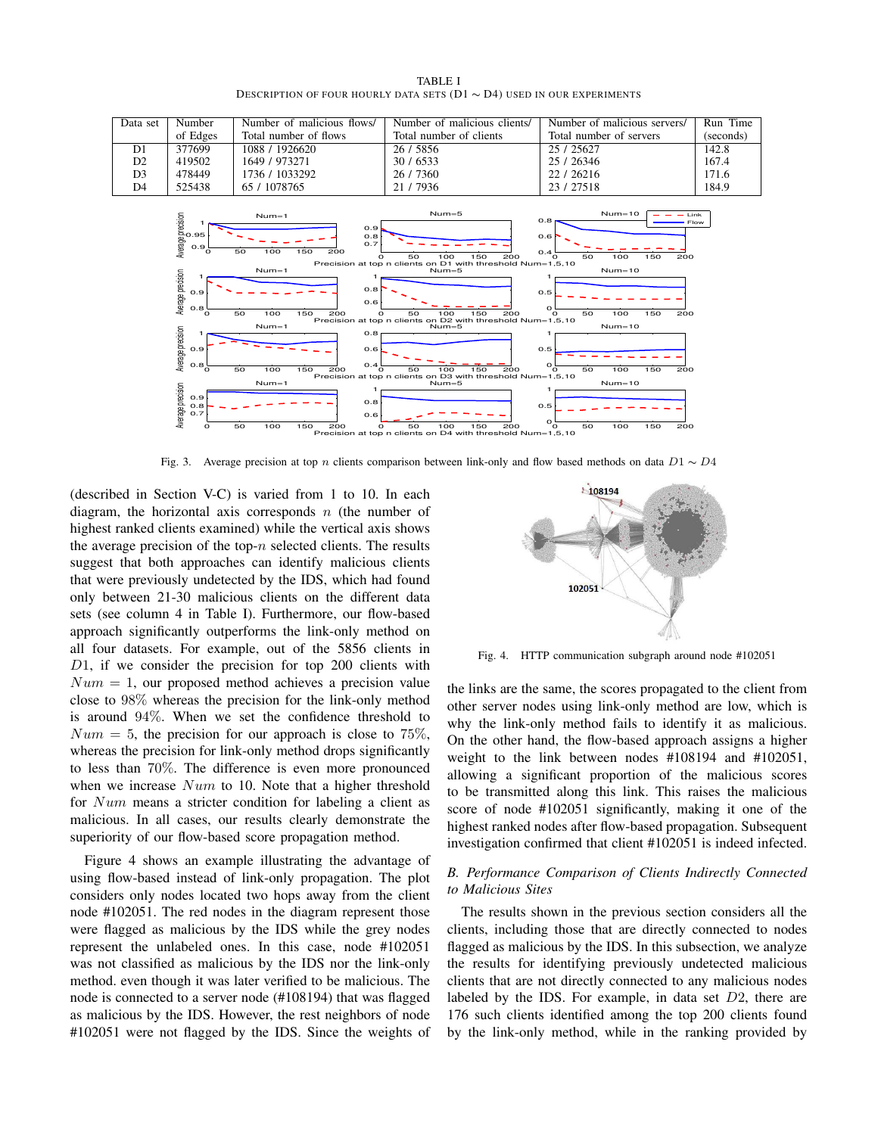

TABLE I DESCRIPTION OF FOUR HOURLY DATA SETS (D1 ∼ D4) USED IN OUR EXPERIMENTS

Fig. 3. Average precision at top *n* clients comparison between link-only and flow based methods on data *D*1 ∼ *D*4

(described in Section V-C) is varied from 1 to 10. In each diagram, the horizontal axis corresponds *n* (the number of highest ranked clients examined) while the vertical axis shows the average precision of the top-*n* selected clients. The results suggest that both approaches can identify malicious clients that were previously undetected by the IDS, which had found only between 21-30 malicious clients on the different data sets (see column 4 in Table I). Furthermore, our flow-based approach significantly outperforms the link-only method on all four datasets. For example, out of the 5856 clients in *D*1, if we consider the precision for top 200 clients with  $Num = 1$ , our proposed method achieves a precision value close to 98% whereas the precision for the link-only method is around 94%. When we set the confidence threshold to  $Num = 5$ , the precision for our approach is close to 75%, whereas the precision for link-only method drops significantly to less than 70%. The difference is even more pronounced when we increase *Num* to 10. Note that a higher threshold for *Num* means a stricter condition for labeling a client as malicious. In all cases, our results clearly demonstrate the superiority of our flow-based score propagation method.

Figure 4 shows an example illustrating the advantage of using flow-based instead of link-only propagation. The plot considers only nodes located two hops away from the client node #102051. The red nodes in the diagram represent those were flagged as malicious by the IDS while the grey nodes represent the unlabeled ones. In this case, node #102051 was not classified as malicious by the IDS nor the link-only method. even though it was later verified to be malicious. The node is connected to a server node (#108194) that was flagged as malicious by the IDS. However, the rest neighbors of node #102051 were not flagged by the IDS. Since the weights of



Fig. 4. HTTP communication subgraph around node #102051

the links are the same, the scores propagated to the client from other server nodes using link-only method are low, which is why the link-only method fails to identify it as malicious. On the other hand, the flow-based approach assigns a higher weight to the link between nodes #108194 and #102051, allowing a significant proportion of the malicious scores to be transmitted along this link. This raises the malicious score of node #102051 significantly, making it one of the highest ranked nodes after flow-based propagation. Subsequent investigation confirmed that client #102051 is indeed infected.

# *B. Performance Comparison of Clients Indirectly Connected to Malicious Sites*

The results shown in the previous section considers all the clients, including those that are directly connected to nodes flagged as malicious by the IDS. In this subsection, we analyze the results for identifying previously undetected malicious clients that are not directly connected to any malicious nodes labeled by the IDS. For example, in data set *D*2, there are 176 such clients identified among the top 200 clients found by the link-only method, while in the ranking provided by